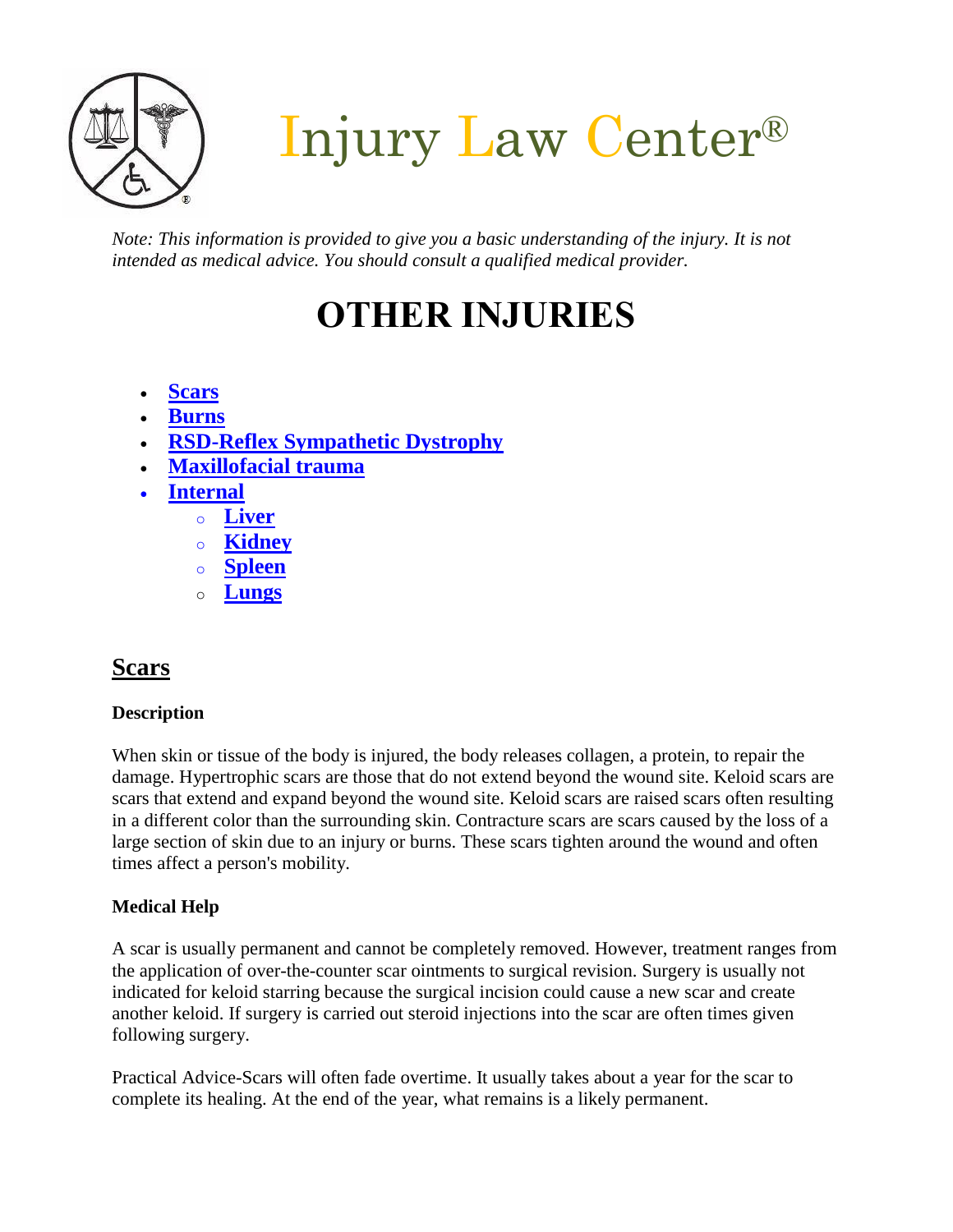

Injury Law Center®

*Note: This information is provided to give you a basic understanding of the injury. It is not intended as medical advice. You should consult a qualified medical provider.*

# **OTHER INJURIES**

- **[Scars](#page-1-0)**
- **[Burns](#page-1-0)**
- **[RSD-Reflex Sympathetic Dystrophy](#page-2-0)**
- **[Maxillofacial trauma](#page-3-0)**
- **[Internal](#page-3-1)** 
	- o **[Liver](#page-3-1)**
	- o **[Kidney](#page-3-1)**
	- o **[Spleen](#page-3-1)**
	- o **[Lungs](#page-3-1)**

# **Scars**

### **Description**

When skin or tissue of the body is injured, the body releases collagen, a protein, to repair the damage. Hypertrophic scars are those that do not extend beyond the wound site. Keloid scars are scars that extend and expand beyond the wound site. Keloid scars are raised scars often resulting in a different color than the surrounding skin. Contracture scars are scars caused by the loss of a large section of skin due to an injury or burns. These scars tighten around the wound and often times affect a person's mobility.

### **Medical Help**

A scar is usually permanent and cannot be completely removed. However, treatment ranges from the application of over-the-counter scar ointments to surgical revision. Surgery is usually not indicated for keloid starring because the surgical incision could cause a new scar and create another keloid. If surgery is carried out steroid injections into the scar are often times given following surgery.

Practical Advice-Scars will often fade overtime. It usually takes about a year for the scar to complete its healing. At the end of the year, what remains is a likely permanent.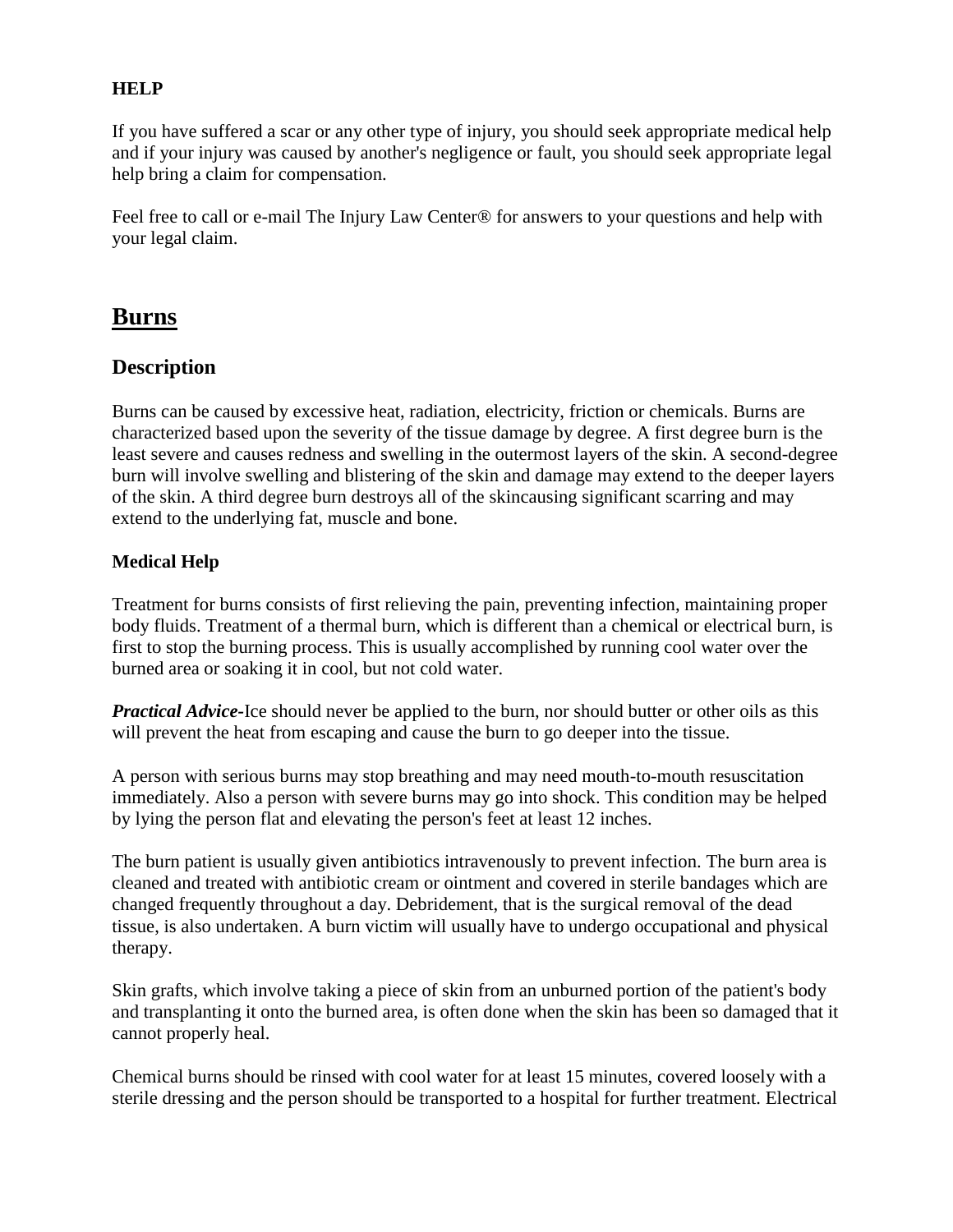### **HELP**

If you have suffered a scar or any other type of injury, you should seek appropriate medical help and if your injury was caused by another's negligence or fault, you should seek appropriate legal help bring a claim for compensation.

Feel free to call or e-mail The Injury Law Center<sup>®</sup> for answers to your questions and help with your legal claim.

# <span id="page-1-0"></span>**Burns**

### **Description**

Burns can be caused by excessive heat, radiation, electricity, friction or chemicals. Burns are characterized based upon the severity of the tissue damage by degree. A first degree burn is the least severe and causes redness and swelling in the outermost layers of the skin. A second-degree burn will involve swelling and blistering of the skin and damage may extend to the deeper layers of the skin. A third degree burn destroys all of the skincausing significant scarring and may extend to the underlying fat, muscle and bone.

### **Medical Help**

Treatment for burns consists of first relieving the pain, preventing infection, maintaining proper body fluids. Treatment of a thermal burn, which is different than a chemical or electrical burn, is first to stop the burning process. This is usually accomplished by running cool water over the burned area or soaking it in cool, but not cold water.

*Practical Advice-*Ice should never be applied to the burn, nor should butter or other oils as this will prevent the heat from escaping and cause the burn to go deeper into the tissue.

A person with serious burns may stop breathing and may need mouth-to-mouth resuscitation immediately. Also a person with severe burns may go into shock. This condition may be helped by lying the person flat and elevating the person's feet at least 12 inches.

The burn patient is usually given antibiotics intravenously to prevent infection. The burn area is cleaned and treated with antibiotic cream or ointment and covered in sterile bandages which are changed frequently throughout a day. Debridement, that is the surgical removal of the dead tissue, is also undertaken. A burn victim will usually have to undergo occupational and physical therapy.

Skin grafts, which involve taking a piece of skin from an unburned portion of the patient's body and transplanting it onto the burned area, is often done when the skin has been so damaged that it cannot properly heal.

Chemical burns should be rinsed with cool water for at least 15 minutes, covered loosely with a sterile dressing and the person should be transported to a hospital for further treatment. Electrical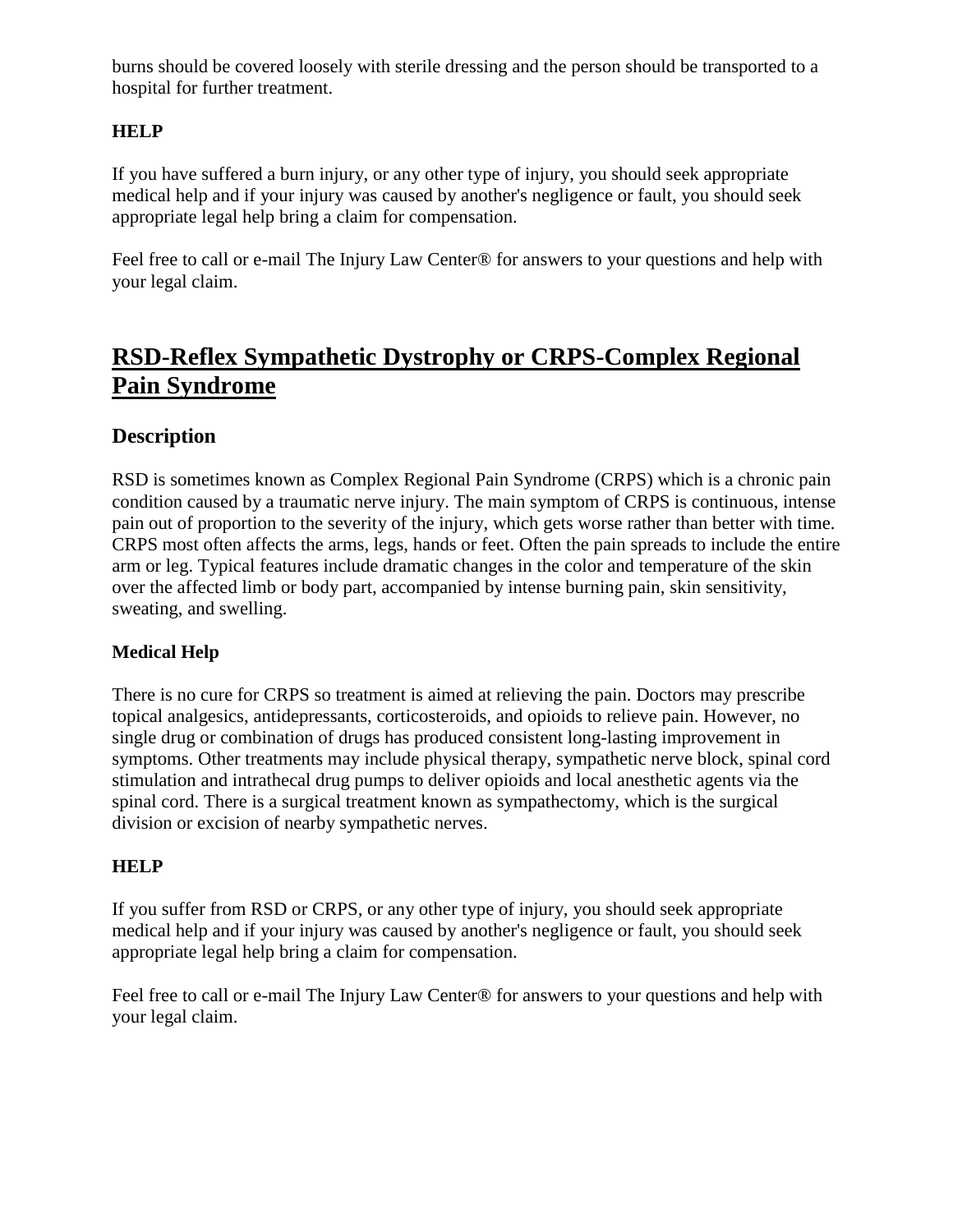burns should be covered loosely with sterile dressing and the person should be transported to a hospital for further treatment.

### **HELP**

If you have suffered a burn injury, or any other type of injury, you should seek appropriate medical help and if your injury was caused by another's negligence or fault, you should seek appropriate legal help bring a claim for compensation.

Feel free to call or e-mail The Injury Law Center<sup>®</sup> for answers to your questions and help with your legal claim.

# <span id="page-2-0"></span>**RSD-Reflex Sympathetic Dystrophy or CRPS-Complex Regional Pain Syndrome**

### **Description**

RSD is sometimes known as Complex Regional Pain Syndrome (CRPS) which is a chronic pain condition caused by a traumatic nerve injury. The main symptom of CRPS is continuous, intense pain out of proportion to the severity of the injury, which gets worse rather than better with time. CRPS most often affects the arms, legs, hands or feet. Often the pain spreads to include the entire arm or leg. Typical features include dramatic changes in the color and temperature of the skin over the affected limb or body part, accompanied by intense burning pain, skin sensitivity, sweating, and swelling.

### **Medical Help**

There is no cure for CRPS so treatment is aimed at relieving the pain. Doctors may prescribe topical analgesics, antidepressants, corticosteroids, and opioids to relieve pain. However, no single drug or combination of drugs has produced consistent long-lasting improvement in symptoms. Other treatments may include physical therapy, sympathetic nerve block, spinal cord stimulation and intrathecal drug pumps to deliver opioids and local anesthetic agents via the spinal cord. There is a surgical treatment known as sympathectomy, which is the surgical division or excision of nearby sympathetic nerves.

### **HELP**

If you suffer from RSD or CRPS, or any other type of injury, you should seek appropriate medical help and if your injury was caused by another's negligence or fault, you should seek appropriate legal help bring a claim for compensation.

Feel free to call or e-mail The Injury Law Center<sup>®</sup> for answers to your questions and help with your legal claim.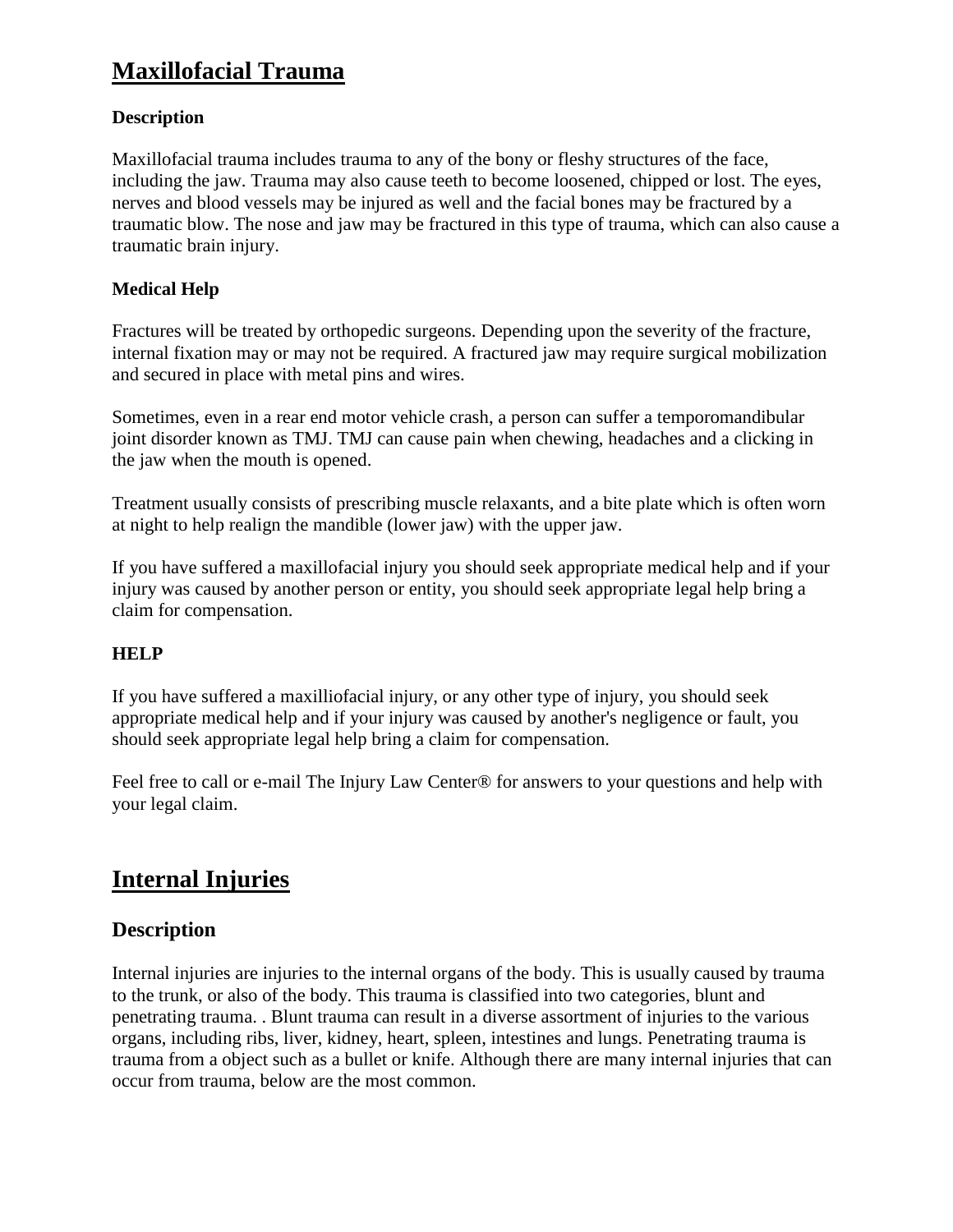# <span id="page-3-0"></span>**Maxillofacial Trauma**

### **Description**

Maxillofacial trauma includes trauma to any of the bony or fleshy structures of the face, including the jaw. Trauma may also cause teeth to become loosened, chipped or lost. The eyes, nerves and blood vessels may be injured as well and the facial bones may be fractured by a traumatic blow. The nose and jaw may be fractured in this type of trauma, which can also cause a traumatic brain injury.

### **Medical Help**

Fractures will be treated by orthopedic surgeons. Depending upon the severity of the fracture, internal fixation may or may not be required. A fractured jaw may require surgical mobilization and secured in place with metal pins and wires.

Sometimes, even in a rear end motor vehicle crash, a person can suffer a temporomandibular joint disorder known as TMJ. TMJ can cause pain when chewing, headaches and a clicking in the jaw when the mouth is opened.

Treatment usually consists of prescribing muscle relaxants, and a bite plate which is often worn at night to help realign the mandible (lower jaw) with the upper jaw.

If you have suffered a maxillofacial injury you should seek appropriate medical help and if your injury was caused by another person or entity, you should seek appropriate legal help bring a claim for compensation.

### **HELP**

If you have suffered a maxilliofacial injury, or any other type of injury, you should seek appropriate medical help and if your injury was caused by another's negligence or fault, you should seek appropriate legal help bring a claim for compensation.

Feel free to call or e-mail The Injury Law Center® for answers to your questions and help with your legal claim.

# <span id="page-3-1"></span>**Internal Injuries**

### **Description**

Internal injuries are injuries to the internal organs of the body. This is usually caused by trauma to the trunk, or also of the body. This trauma is classified into two categories, blunt and penetrating trauma. . Blunt trauma can result in a diverse assortment of injuries to the various organs, including ribs, liver, kidney, heart, spleen, intestines and lungs. Penetrating trauma is trauma from a object such as a bullet or knife. Although there are many internal injuries that can occur from trauma, below are the most common.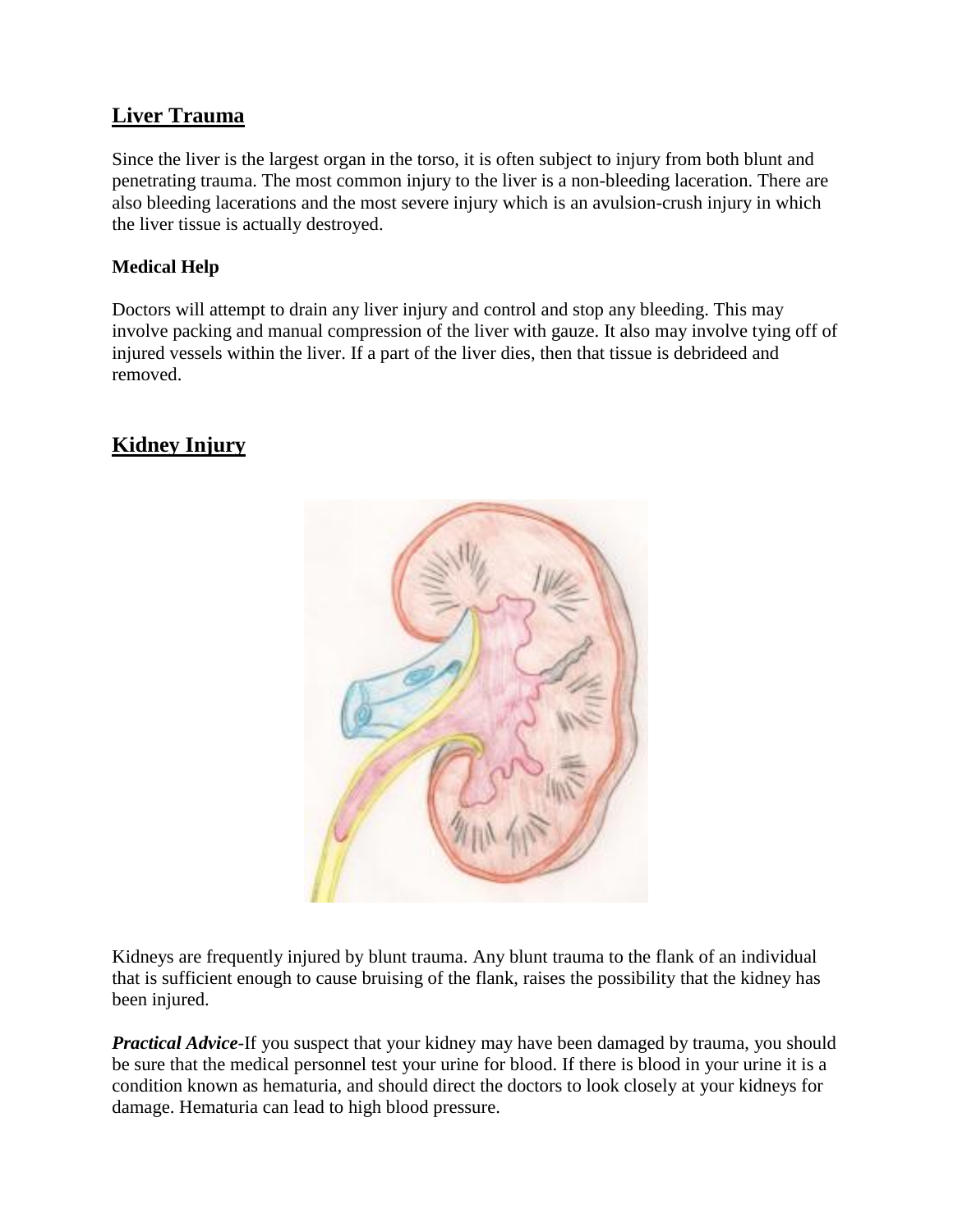## **Liver Trauma**

Since the liver is the largest organ in the torso, it is often subject to injury from both blunt and penetrating trauma. The most common injury to the liver is a non-bleeding laceration. There are also bleeding lacerations and the most severe injury which is an avulsion-crush injury in which the liver tissue is actually destroyed.

### **Medical Help**

Doctors will attempt to drain any liver injury and control and stop any bleeding. This may involve packing and manual compression of the liver with gauze. It also may involve tying off of injured vessels within the liver. If a part of the liver dies, then that tissue is debrideed and removed.

# **Kidney Injury**



Kidneys are frequently injured by blunt trauma. Any blunt trauma to the flank of an individual that is sufficient enough to cause bruising of the flank, raises the possibility that the kidney has been injured.

*Practical Advice*-If you suspect that your kidney may have been damaged by trauma, you should be sure that the medical personnel test your urine for blood. If there is blood in your urine it is a condition known as hematuria, and should direct the doctors to look closely at your kidneys for damage. Hematuria can lead to high blood pressure.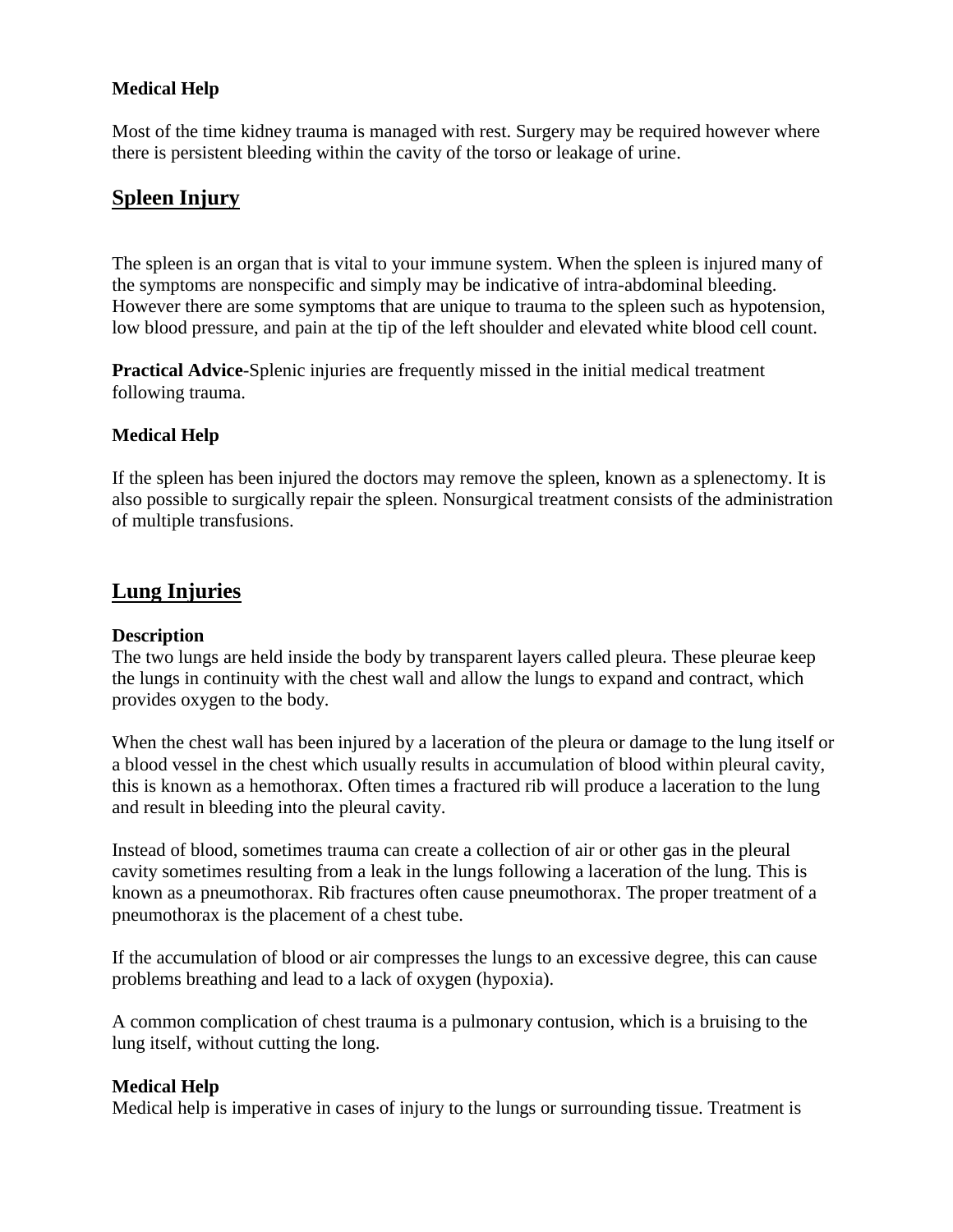### **Medical Help**

Most of the time kidney trauma is managed with rest. Surgery may be required however where there is persistent bleeding within the cavity of the torso or leakage of urine.

### **Spleen Injury**

The spleen is an organ that is vital to your immune system. When the spleen is injured many of the symptoms are nonspecific and simply may be indicative of intra-abdominal bleeding. However there are some symptoms that are unique to trauma to the spleen such as hypotension, low blood pressure, and pain at the tip of the left shoulder and elevated white blood cell count.

**Practical Advice**-Splenic injuries are frequently missed in the initial medical treatment following trauma.

### **Medical Help**

If the spleen has been injured the doctors may remove the spleen, known as a splenectomy. It is also possible to surgically repair the spleen. Nonsurgical treatment consists of the administration of multiple transfusions.

### **Lung Injuries**

#### **Description**

The two lungs are held inside the body by transparent layers called pleura. These pleurae keep the lungs in continuity with the chest wall and allow the lungs to expand and contract, which provides oxygen to the body.

When the chest wall has been injured by a laceration of the pleura or damage to the lung itself or a blood vessel in the chest which usually results in accumulation of blood within pleural cavity, this is known as a hemothorax. Often times a fractured rib will produce a laceration to the lung and result in bleeding into the pleural cavity.

Instead of blood, sometimes trauma can create a collection of air or other gas in the pleural cavity sometimes resulting from a leak in the lungs following a laceration of the lung. This is known as a pneumothorax. Rib fractures often cause pneumothorax. The proper treatment of a pneumothorax is the placement of a chest tube.

If the accumulation of blood or air compresses the lungs to an excessive degree, this can cause problems breathing and lead to a lack of oxygen (hypoxia).

A common complication of chest trauma is a pulmonary contusion, which is a bruising to the lung itself, without cutting the long.

#### **Medical Help**

Medical help is imperative in cases of injury to the lungs or surrounding tissue. Treatment is